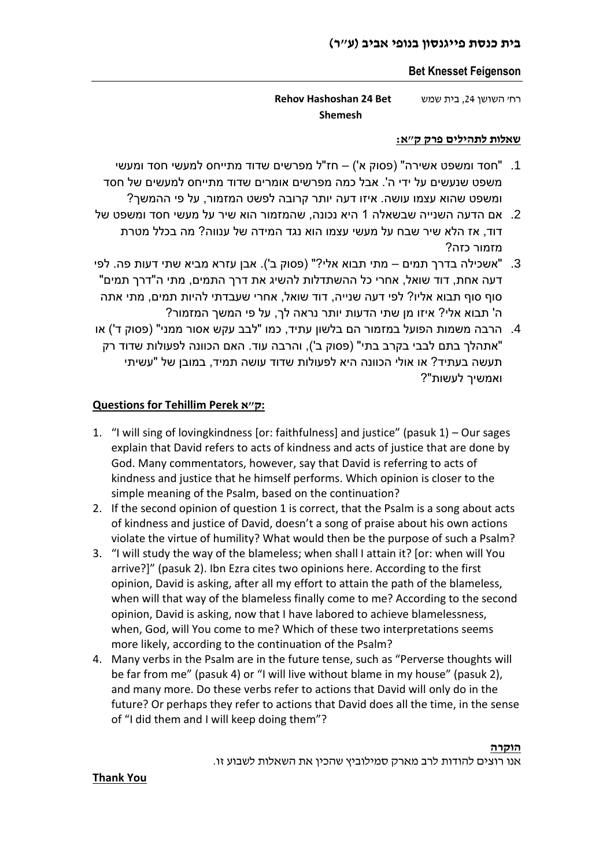# **בית כנסת פייגנסון בנופי אביב )ע"ר(**

## **Bet Knesset Feigenson**

רח' השושן ,24 בית שמש **Bet 24 Hashoshan Rehov Shemesh** 

#### **שאלות לתהילים פרק ק"א:**

- .1 "חסד ומשפט אשירה" )פסוק א'( חז"ל מפרשים שדוד מתייחס למעשי חסד ומעשי משפט שנעשים על ידי ה'. אבל כמה מפרשים אומרים שדוד מתייחס למעשים של חסד ומשפט שהוא עצמו עושה. איזו דעה יותר קרובה לפשט המזמור, על פי ההמשך?
- .2 אם הדעה השנייה שבשאלה 1 היא נכונה, שהמזמור הוא שיר על מעשי חסד ומשפט של דוד, אז הלא שיר שבח על מעשי עצמו הוא נגד המידה של ענווה? מה בכלל מטרת מזמור כזה?
- 3. "אשכילה בדרך תמים מתי תבוא אלי?" (פסוק ב'). אבן עזרא מביא שתי דעות פה. לפי דעה אחת, דוד שואל, אחרי כל ההשתדלות להשיג את דרך התמים, מתי ה"דרך תמים" סוף סוף תבוא אליו? לפי דעה שנייה, דוד שואל, אחרי שעבדתי להיות תמים, מתי אתה ה' תבוא אלי? איזו מן שתי הדעות יותר נראה לך, על פי המשך המזמור?
- 4. הרבה משמות הפועל במזמור הם בלשון עתיד, כמו "לבב עקש אסור ממני" (פסוק ד') או "אתהלך בתם לבבי בקרב בתי" (פסוק ב'), והרבה עוד. האם הכוונה לפעולות שדוד רק תעשה בעתיד? או אולי הכוונה היא לפעולות שדוד עושה תמיד, במובן של "עשיתי ואמשיך לעשות"?

# **Questions for Tehillim Perek א"ק:**

- 1. "I will sing of lovingkindness [or: faithfulness] and justice" (pasuk 1) Our sages explain that David refers to acts of kindness and acts of justice that are done by God. Many commentators, however, say that David is referring to acts of kindness and justice that he himself performs. Which opinion is closer to the simple meaning of the Psalm, based on the continuation?
- 2. If the second opinion of question 1 is correct, that the Psalm is a song about acts of kindness and justice of David, doesn't a song of praise about his own actions violate the virtue of humility? What would then be the purpose of such a Psalm?
- 3. "I will study the way of the blameless; when shall I attain it? [or: when will You arrive?]" (pasuk 2). Ibn Ezra cites two opinions here. According to the first opinion, David is asking, after all my effort to attain the path of the blameless, when will that way of the blameless finally come to me? According to the second opinion, David is asking, now that I have labored to achieve blamelessness, when, God, will You come to me? Which of these two interpretations seems more likely, according to the continuation of the Psalm?
- 4. Many verbs in the Psalm are in the future tense, such as "Perverse thoughts will be far from me" (pasuk 4) or "I will live without blame in my house" (pasuk 2), and many more. Do these verbs refer to actions that David will only do in the future? Or perhaps they refer to actions that David does all the time, in the sense of "I did them and I will keep doing them"?

#### **הוקרה**

אנו רוצים להודות לרב מארק סמילוביץ שהכין את השאלות לשבוע זו.

# **Thank You**